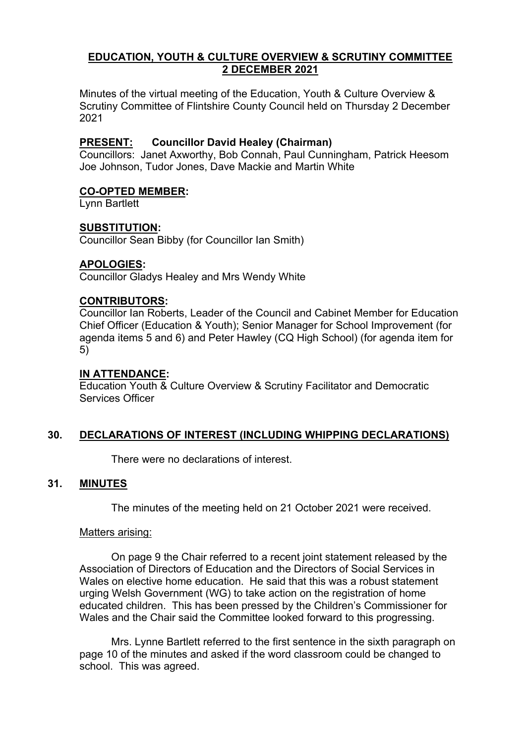# **EDUCATION, YOUTH & CULTURE OVERVIEW & SCRUTINY COMMITTEE 2 DECEMBER 2021**

Minutes of the virtual meeting of the Education, Youth & Culture Overview & Scrutiny Committee of Flintshire County Council held on Thursday 2 December 2021

# **PRESENT: Councillor David Healey (Chairman)**

Councillors: Janet Axworthy, Bob Connah, Paul Cunningham, Patrick Heesom Joe Johnson, Tudor Jones, Dave Mackie and Martin White

## **CO-OPTED MEMBER:**

Lynn Bartlett

# **SUBSTITUTION:**

Councillor Sean Bibby (for Councillor Ian Smith)

#### **APOLOGIES:**

Councillor Gladys Healey and Mrs Wendy White

## **CONTRIBUTORS:**

Councillor Ian Roberts, Leader of the Council and Cabinet Member for Education Chief Officer (Education & Youth); Senior Manager for School Improvement (for agenda items 5 and 6) and Peter Hawley (CQ High School) (for agenda item for 5)

#### **IN ATTENDANCE:**

Education Youth & Culture Overview & Scrutiny Facilitator and Democratic Services Officer

## **30. DECLARATIONS OF INTEREST (INCLUDING WHIPPING DECLARATIONS)**

There were no declarations of interest.

## **31. MINUTES**

The minutes of the meeting held on 21 October 2021 were received.

#### Matters arising:

On page 9 the Chair referred to a recent joint statement released by the Association of Directors of Education and the Directors of Social Services in Wales on elective home education. He said that this was a robust statement urging Welsh Government (WG) to take action on the registration of home educated children. This has been pressed by the Children's Commissioner for Wales and the Chair said the Committee looked forward to this progressing.

Mrs. Lynne Bartlett referred to the first sentence in the sixth paragraph on page 10 of the minutes and asked if the word classroom could be changed to school. This was agreed.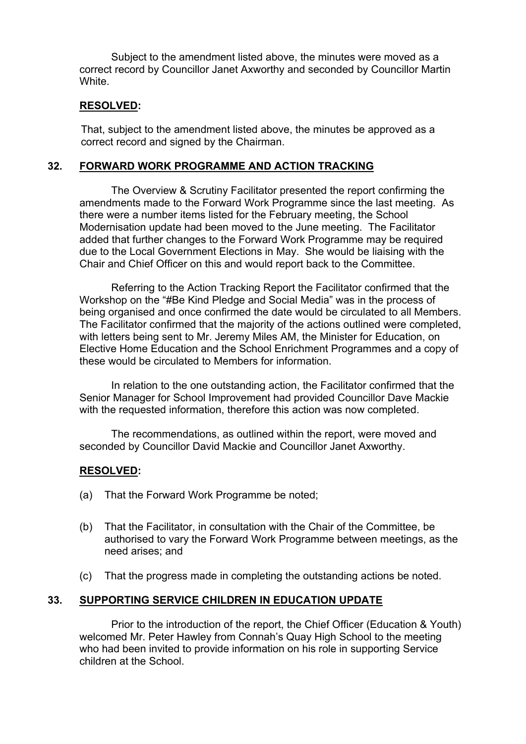Subject to the amendment listed above, the minutes were moved as a correct record by Councillor Janet Axworthy and seconded by Councillor Martin White.

### **RESOLVED:**

That, subject to the amendment listed above, the minutes be approved as a correct record and signed by the Chairman.

#### **32. FORWARD WORK PROGRAMME AND ACTION TRACKING**

The Overview & Scrutiny Facilitator presented the report confirming the amendments made to the Forward Work Programme since the last meeting. As there were a number items listed for the February meeting, the School Modernisation update had been moved to the June meeting. The Facilitator added that further changes to the Forward Work Programme may be required due to the Local Government Elections in May. She would be liaising with the Chair and Chief Officer on this and would report back to the Committee.

Referring to the Action Tracking Report the Facilitator confirmed that the Workshop on the "#Be Kind Pledge and Social Media" was in the process of being organised and once confirmed the date would be circulated to all Members. The Facilitator confirmed that the majority of the actions outlined were completed, with letters being sent to Mr. Jeremy Miles AM, the Minister for Education, on Elective Home Education and the School Enrichment Programmes and a copy of these would be circulated to Members for information.

In relation to the one outstanding action, the Facilitator confirmed that the Senior Manager for School Improvement had provided Councillor Dave Mackie with the requested information, therefore this action was now completed.

The recommendations, as outlined within the report, were moved and seconded by Councillor David Mackie and Councillor Janet Axworthy.

#### **RESOLVED:**

- (a) That the Forward Work Programme be noted;
- (b) That the Facilitator, in consultation with the Chair of the Committee, be authorised to vary the Forward Work Programme between meetings, as the need arises; and
- (c) That the progress made in completing the outstanding actions be noted.

## **33. SUPPORTING SERVICE CHILDREN IN EDUCATION UPDATE**

Prior to the introduction of the report, the Chief Officer (Education & Youth) welcomed Mr. Peter Hawley from Connah's Quay High School to the meeting who had been invited to provide information on his role in supporting Service children at the School.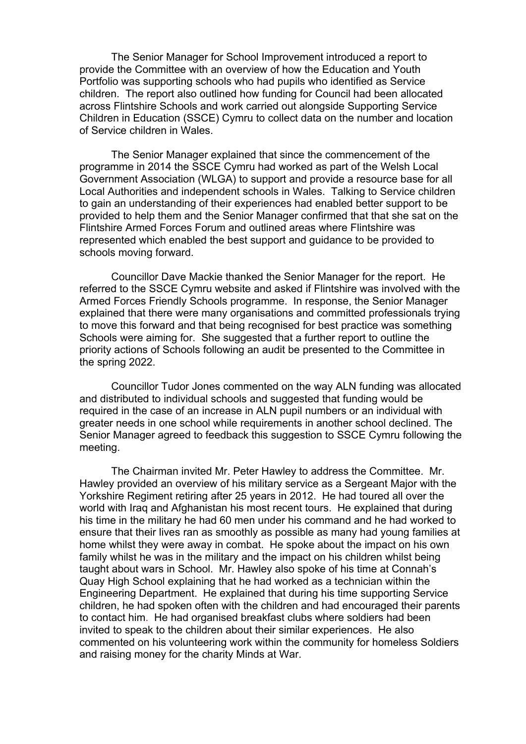The Senior Manager for School Improvement introduced a report to provide the Committee with an overview of how the Education and Youth Portfolio was supporting schools who had pupils who identified as Service children. The report also outlined how funding for Council had been allocated across Flintshire Schools and work carried out alongside Supporting Service Children in Education (SSCE) Cymru to collect data on the number and location of Service children in Wales.

The Senior Manager explained that since the commencement of the programme in 2014 the SSCE Cymru had worked as part of the Welsh Local Government Association (WLGA) to support and provide a resource base for all Local Authorities and independent schools in Wales. Talking to Service children to gain an understanding of their experiences had enabled better support to be provided to help them and the Senior Manager confirmed that that she sat on the Flintshire Armed Forces Forum and outlined areas where Flintshire was represented which enabled the best support and guidance to be provided to schools moving forward.

Councillor Dave Mackie thanked the Senior Manager for the report. He referred to the SSCE Cymru website and asked if Flintshire was involved with the Armed Forces Friendly Schools programme. In response, the Senior Manager explained that there were many organisations and committed professionals trying to move this forward and that being recognised for best practice was something Schools were aiming for. She suggested that a further report to outline the priority actions of Schools following an audit be presented to the Committee in the spring 2022.

Councillor Tudor Jones commented on the way ALN funding was allocated and distributed to individual schools and suggested that funding would be required in the case of an increase in ALN pupil numbers or an individual with greater needs in one school while requirements in another school declined. The Senior Manager agreed to feedback this suggestion to SSCE Cymru following the meeting.

The Chairman invited Mr. Peter Hawley to address the Committee. Mr. Hawley provided an overview of his military service as a Sergeant Major with the Yorkshire Regiment retiring after 25 years in 2012. He had toured all over the world with Iraq and Afghanistan his most recent tours. He explained that during his time in the military he had 60 men under his command and he had worked to ensure that their lives ran as smoothly as possible as many had young families at home whilst they were away in combat. He spoke about the impact on his own family whilst he was in the military and the impact on his children whilst being taught about wars in School. Mr. Hawley also spoke of his time at Connah's Quay High School explaining that he had worked as a technician within the Engineering Department. He explained that during his time supporting Service children, he had spoken often with the children and had encouraged their parents to contact him. He had organised breakfast clubs where soldiers had been invited to speak to the children about their similar experiences. He also commented on his volunteering work within the community for homeless Soldiers and raising money for the charity Minds at War.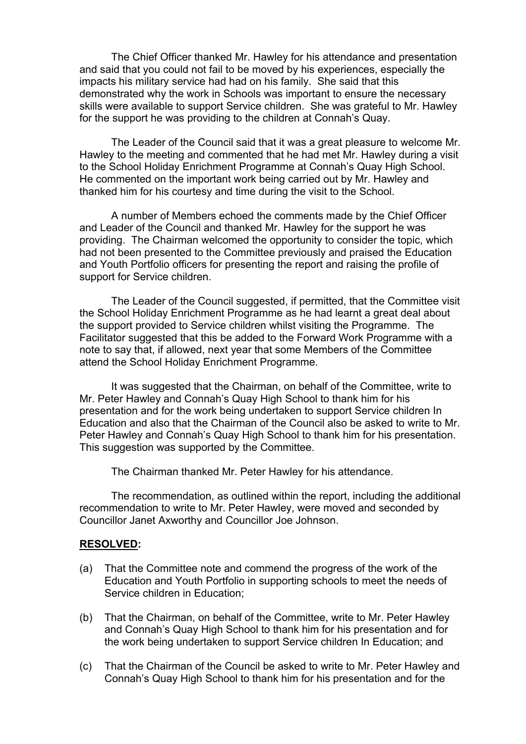The Chief Officer thanked Mr. Hawley for his attendance and presentation and said that you could not fail to be moved by his experiences, especially the impacts his military service had had on his family. She said that this demonstrated why the work in Schools was important to ensure the necessary skills were available to support Service children. She was grateful to Mr. Hawley for the support he was providing to the children at Connah's Quay.

The Leader of the Council said that it was a great pleasure to welcome Mr. Hawley to the meeting and commented that he had met Mr. Hawley during a visit to the School Holiday Enrichment Programme at Connah's Quay High School. He commented on the important work being carried out by Mr. Hawley and thanked him for his courtesy and time during the visit to the School.

A number of Members echoed the comments made by the Chief Officer and Leader of the Council and thanked Mr. Hawley for the support he was providing. The Chairman welcomed the opportunity to consider the topic, which had not been presented to the Committee previously and praised the Education and Youth Portfolio officers for presenting the report and raising the profile of support for Service children.

The Leader of the Council suggested, if permitted, that the Committee visit the School Holiday Enrichment Programme as he had learnt a great deal about the support provided to Service children whilst visiting the Programme. The Facilitator suggested that this be added to the Forward Work Programme with a note to say that, if allowed, next year that some Members of the Committee attend the School Holiday Enrichment Programme.

It was suggested that the Chairman, on behalf of the Committee, write to Mr. Peter Hawley and Connah's Quay High School to thank him for his presentation and for the work being undertaken to support Service children In Education and also that the Chairman of the Council also be asked to write to Mr. Peter Hawley and Connah's Quay High School to thank him for his presentation. This suggestion was supported by the Committee.

The Chairman thanked Mr. Peter Hawley for his attendance.

The recommendation, as outlined within the report, including the additional recommendation to write to Mr. Peter Hawley, were moved and seconded by Councillor Janet Axworthy and Councillor Joe Johnson.

#### **RESOLVED:**

- (a) That the Committee note and commend the progress of the work of the Education and Youth Portfolio in supporting schools to meet the needs of Service children in Education;
- (b) That the Chairman, on behalf of the Committee, write to Mr. Peter Hawley and Connah's Quay High School to thank him for his presentation and for the work being undertaken to support Service children In Education; and
- (c) That the Chairman of the Council be asked to write to Mr. Peter Hawley and Connah's Quay High School to thank him for his presentation and for the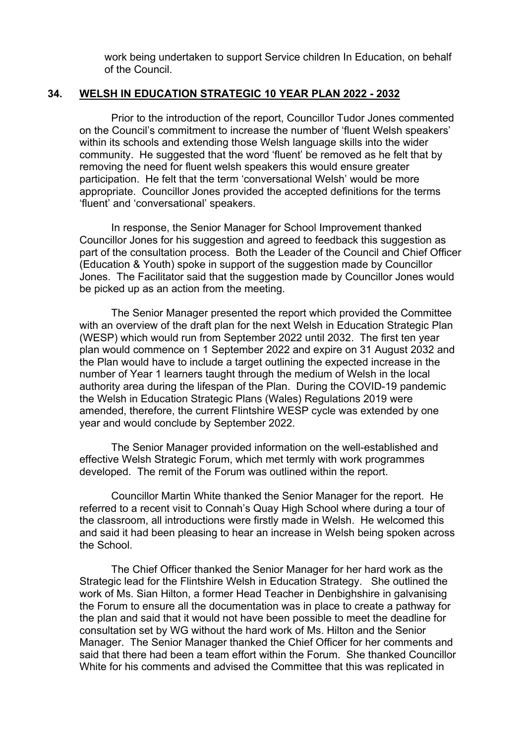work being undertaken to support Service children In Education, on behalf of the Council.

# **34. WELSH IN EDUCATION STRATEGIC 10 YEAR PLAN 2022 - 2032**

Prior to the introduction of the report, Councillor Tudor Jones commented on the Council's commitment to increase the number of 'fluent Welsh speakers' within its schools and extending those Welsh language skills into the wider community. He suggested that the word 'fluent' be removed as he felt that by removing the need for fluent welsh speakers this would ensure greater participation. He felt that the term 'conversational Welsh' would be more appropriate. Councillor Jones provided the accepted definitions for the terms 'fluent' and 'conversational' speakers.

In response, the Senior Manager for School Improvement thanked Councillor Jones for his suggestion and agreed to feedback this suggestion as part of the consultation process. Both the Leader of the Council and Chief Officer (Education & Youth) spoke in support of the suggestion made by Councillor Jones. The Facilitator said that the suggestion made by Councillor Jones would be picked up as an action from the meeting.

 The Senior Manager presented the report which provided the Committee with an overview of the draft plan for the next Welsh in Education Strategic Plan (WESP) which would run from September 2022 until 2032. The first ten year plan would commence on 1 September 2022 and expire on 31 August 2032 and the Plan would have to include a target outlining the expected increase in the number of Year 1 learners taught through the medium of Welsh in the local authority area during the lifespan of the Plan. During the COVID-19 pandemic the Welsh in Education Strategic Plans (Wales) Regulations 2019 were amended, therefore, the current Flintshire WESP cycle was extended by one year and would conclude by September 2022.

The Senior Manager provided information on the well-established and effective Welsh Strategic Forum, which met termly with work programmes developed. The remit of the Forum was outlined within the report.

Councillor Martin White thanked the Senior Manager for the report. He referred to a recent visit to Connah's Quay High School where during a tour of the classroom, all introductions were firstly made in Welsh. He welcomed this and said it had been pleasing to hear an increase in Welsh being spoken across the School.

The Chief Officer thanked the Senior Manager for her hard work as the Strategic lead for the Flintshire Welsh in Education Strategy. She outlined the work of Ms. Sian Hilton, a former Head Teacher in Denbighshire in galvanising the Forum to ensure all the documentation was in place to create a pathway for the plan and said that it would not have been possible to meet the deadline for consultation set by WG without the hard work of Ms. Hilton and the Senior Manager. The Senior Manager thanked the Chief Officer for her comments and said that there had been a team effort within the Forum. She thanked Councillor White for his comments and advised the Committee that this was replicated in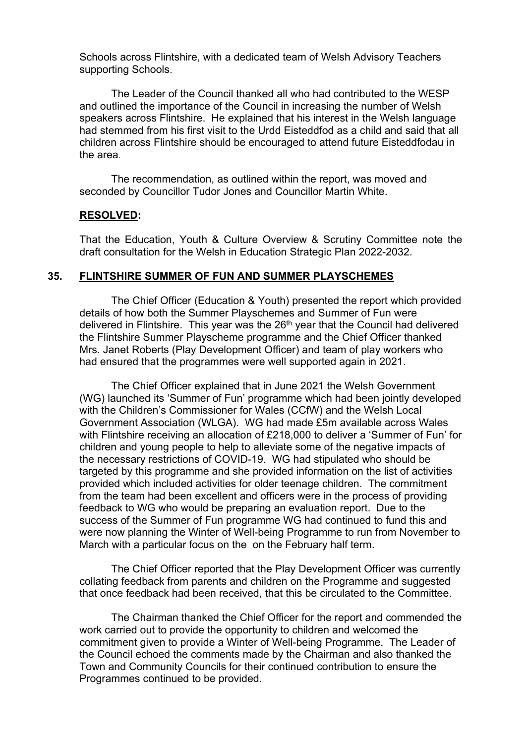Schools across Flintshire, with a dedicated team of Welsh Advisory Teachers supporting Schools.

The Leader of the Council thanked all who had contributed to the WESP and outlined the importance of the Council in increasing the number of Welsh speakers across Flintshire. He explained that his interest in the Welsh language had stemmed from his first visit to the Urdd Eisteddfod as a child and said that all children across Flintshire should be encouraged to attend future Eisteddfodau in the area.

The recommendation, as outlined within the report, was moved and seconded by Councillor Tudor Jones and Councillor Martin White.

#### **RESOLVED:**

That the Education, Youth & Culture Overview & Scrutiny Committee note the draft consultation for the Welsh in Education Strategic Plan 2022-2032.

#### **35. FLINTSHIRE SUMMER OF FUN AND SUMMER PLAYSCHEMES**

The Chief Officer (Education & Youth) presented the report which provided details of how both the Summer Playschemes and Summer of Fun were delivered in Flintshire. This year was the 26<sup>th</sup> year that the Council had delivered the Flintshire Summer Playscheme programme and the Chief Officer thanked Mrs. Janet Roberts (Play Development Officer) and team of play workers who had ensured that the programmes were well supported again in 2021.

The Chief Officer explained that in June 2021 the Welsh Government (WG) launched its 'Summer of Fun' programme which had been jointly developed with the Children's Commissioner for Wales (CCfW) and the Welsh Local Government Association (WLGA). WG had made £5m available across Wales with Flintshire receiving an allocation of £218,000 to deliver a 'Summer of Fun' for children and young people to help to alleviate some of the negative impacts of the necessary restrictions of COVID-19. WG had stipulated who should be targeted by this programme and she provided information on the list of activities provided which included activities for older teenage children. The commitment from the team had been excellent and officers were in the process of providing feedback to WG who would be preparing an evaluation report. Due to the success of the Summer of Fun programme WG had continued to fund this and were now planning the Winter of Well-being Programme to run from November to March with a particular focus on the on the February half term.

The Chief Officer reported that the Play Development Officer was currently collating feedback from parents and children on the Programme and suggested that once feedback had been received, that this be circulated to the Committee.

The Chairman thanked the Chief Officer for the report and commended the work carried out to provide the opportunity to children and welcomed the commitment given to provide a Winter of Well-being Programme. The Leader of the Council echoed the comments made by the Chairman and also thanked the Town and Community Councils for their continued contribution to ensure the Programmes continued to be provided.